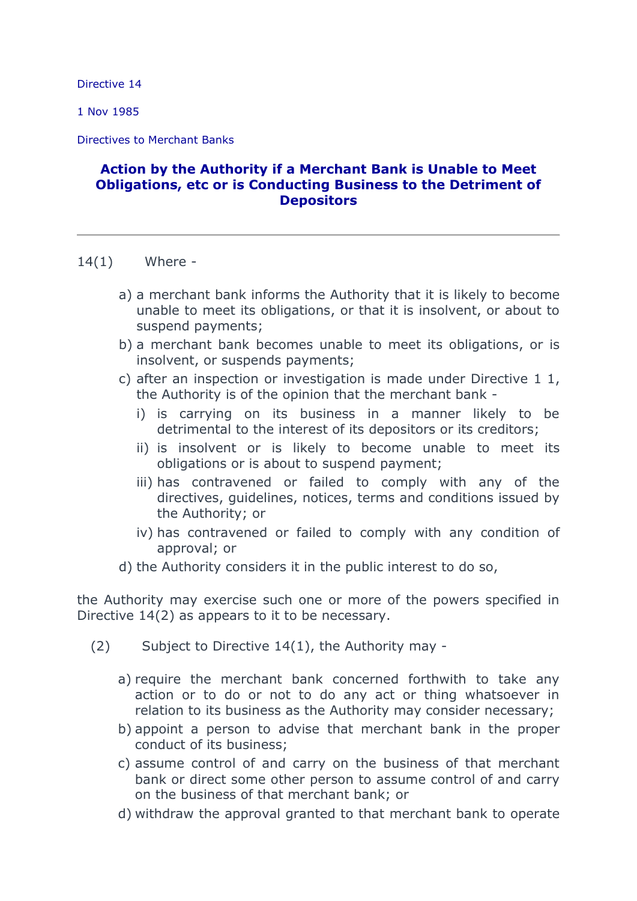Directive 14

1 Nov 1985

Directives to Merchant Banks

## **Action by the Authority if a Merchant Bank is Unable to Meet Obligations, etc or is Conducting Business to the Detriment of Depositors**

- 14(1) Where
	- a) a merchant bank informs the Authority that it is likely to become unable to meet its obligations, or that it is insolvent, or about to suspend payments;
	- b) a merchant bank becomes unable to meet its obligations, or is insolvent, or suspends payments;
	- c) after an inspection or investigation is made under Directive 1 1, the Authority is of the opinion that the merchant bank
		- i) is carrying on its business in a manner likely to be detrimental to the interest of its depositors or its creditors;
		- ii) is insolvent or is likely to become unable to meet its obligations or is about to suspend payment;
		- iii) has contravened or failed to comply with any of the directives, guidelines, notices, terms and conditions issued by the Authority; or
		- iv) has contravened or failed to comply with any condition of approval; or
	- d) the Authority considers it in the public interest to do so,

the Authority may exercise such one or more of the powers specified in Directive 14(2) as appears to it to be necessary.

- (2) Subject to Directive 14(1), the Authority may
	- a) require the merchant bank concerned forthwith to take any action or to do or not to do any act or thing whatsoever in relation to its business as the Authority may consider necessary;
	- b) appoint a person to advise that merchant bank in the proper conduct of its business;
	- c) assume control of and carry on the business of that merchant bank or direct some other person to assume control of and carry on the business of that merchant bank; or
	- d) withdraw the approval granted to that merchant bank to operate